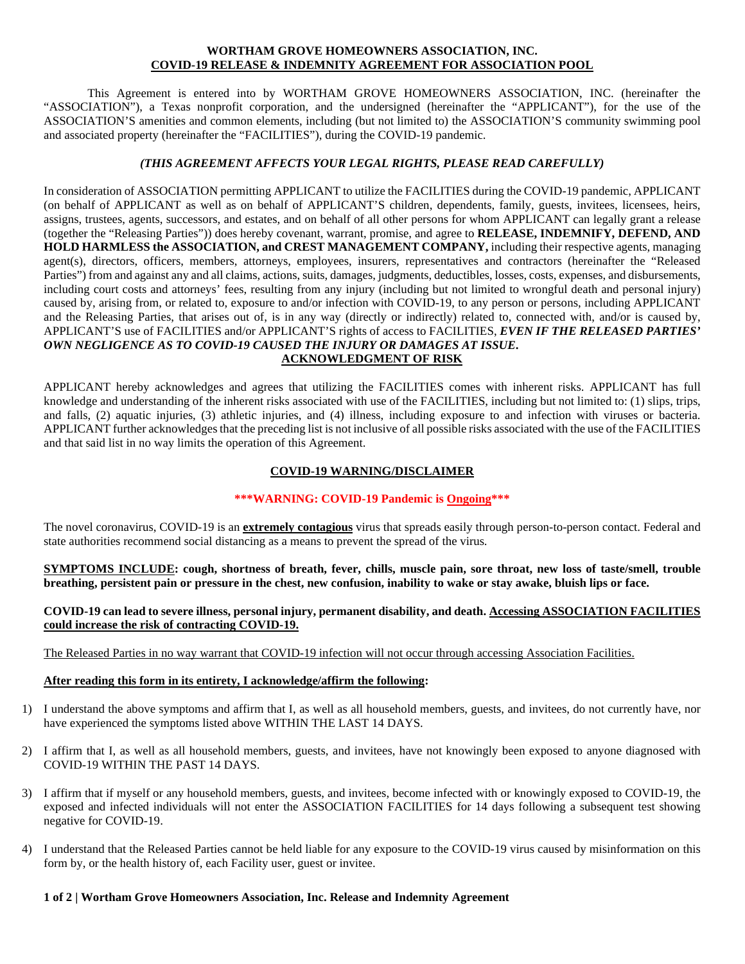### **WORTHAM GROVE HOMEOWNERS ASSOCIATION, INC. COVID-19 RELEASE & INDEMNITY AGREEMENT FOR ASSOCIATION POOL**

This Agreement is entered into by WORTHAM GROVE HOMEOWNERS ASSOCIATION, INC. (hereinafter the "ASSOCIATION"), a Texas nonprofit corporation, and the undersigned (hereinafter the "APPLICANT"), for the use of the ASSOCIATION'S amenities and common elements, including (but not limited to) the ASSOCIATION'S community swimming pool and associated property (hereinafter the "FACILITIES"), during the COVID-19 pandemic.

### *(THIS AGREEMENT AFFECTS YOUR LEGAL RIGHTS, PLEASE READ CAREFULLY)*

In consideration of ASSOCIATION permitting APPLICANT to utilize the FACILITIES during the COVID-19 pandemic, APPLICANT (on behalf of APPLICANT as well as on behalf of APPLICANT'S children, dependents, family, guests, invitees, licensees, heirs, assigns, trustees, agents, successors, and estates, and on behalf of all other persons for whom APPLICANT can legally grant a release (together the "Releasing Parties")) does hereby covenant, warrant, promise, and agree to **RELEASE, INDEMNIFY, DEFEND, AND HOLD HARMLESS the ASSOCIATION, and CREST MANAGEMENT COMPANY,** including their respective agents, managing agent(s), directors, officers, members, attorneys, employees, insurers, representatives and contractors (hereinafter the "Released Parties") from and against any and all claims, actions, suits, damages, judgments, deductibles, losses, costs, expenses, and disbursements, including court costs and attorneys' fees, resulting from any injury (including but not limited to wrongful death and personal injury) caused by, arising from, or related to, exposure to and/or infection with COVID-19, to any person or persons, including APPLICANT and the Releasing Parties, that arises out of, is in any way (directly or indirectly) related to, connected with, and/or is caused by, APPLICANT'S use of FACILITIES and/or APPLICANT'S rights of access to FACILITIES, *EVEN IF THE RELEASED PARTIES' OWN NEGLIGENCE AS TO COVID-19 CAUSED THE INJURY OR DAMAGES AT ISSUE***. ACKNOWLEDGMENT OF RISK**

APPLICANT hereby acknowledges and agrees that utilizing the FACILITIES comes with inherent risks. APPLICANT has full knowledge and understanding of the inherent risks associated with use of the FACILITIES, including but not limited to: (1) slips, trips, and falls, (2) aquatic injuries, (3) athletic injuries, and (4) illness, including exposure to and infection with viruses or bacteria. APPLICANT further acknowledges that the preceding list is not inclusive of all possible risks associated with the use of the FACILITIES and that said list in no way limits the operation of this Agreement.

## **COVID-19 WARNING/DISCLAIMER**

# **\*\*\*WARNING: COVID-19 Pandemic is Ongoing\*\*\***

The novel coronavirus, COVID-19 is an **extremely contagious** virus that spreads easily through person-to-person contact. Federal and state authorities recommend social distancing as a means to prevent the spread of the virus.

**SYMPTOMS INCLUDE: cough, shortness of breath, fever, chills, muscle pain, sore throat, new loss of taste/smell, trouble breathing, persistent pain or pressure in the chest, new confusion, inability to wake or stay awake, bluish lips or face.**

**COVID-19 can lead to severe illness, personal injury, permanent disability, and death. Accessing ASSOCIATION FACILITIES could increase the risk of contracting COVID-19.**

The Released Parties in no way warrant that COVID-19 infection will not occur through accessing Association Facilities.

### **After reading this form in its entirety, I acknowledge/affirm the following:**

- 1) I understand the above symptoms and affirm that I, as well as all household members, guests, and invitees, do not currently have, nor have experienced the symptoms listed above WITHIN THE LAST 14 DAYS.
- 2) I affirm that I, as well as all household members, guests, and invitees, have not knowingly been exposed to anyone diagnosed with COVID-19 WITHIN THE PAST 14 DAYS.
- 3) I affirm that if myself or any household members, guests, and invitees, become infected with or knowingly exposed to COVID-19, the exposed and infected individuals will not enter the ASSOCIATION FACILITIES for 14 days following a subsequent test showing negative for COVID-19.
- 4) I understand that the Released Parties cannot be held liable for any exposure to the COVID-19 virus caused by misinformation on this form by, or the health history of, each Facility user, guest or invitee.

### **1 of 2 | Wortham Grove Homeowners Association, Inc. Release and Indemnity Agreement**